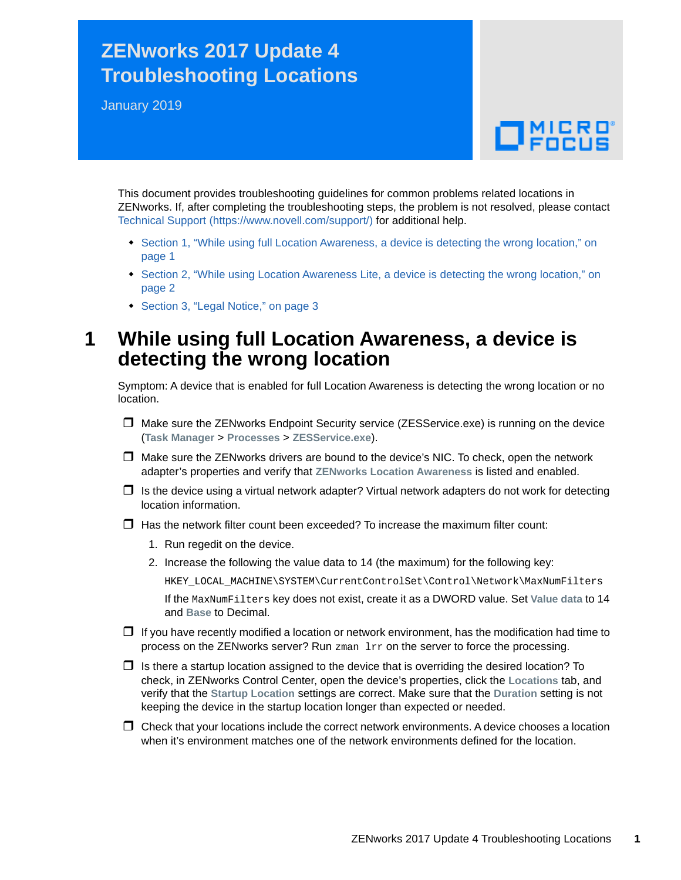## **ZENworks 2017 Update 4 Troubleshooting Locations**

January 2019

# $\Box$ MICRO'

This document provides troubleshooting guidelines for common problems related locations in ZENworks. If, after completing the troubleshooting steps, the problem is not resolved, please contact [Technical Support](https://www.novell.com/support/) (https://www.novell.com/support/) for additional help.

- Section 1, "While using full Location Awareness, a device is detecting the wrong location," on [page 1](#page-0-0)
- [Section 2, "While using Location Awareness Lite, a device is detecting the wrong location," on](#page-1-0)  [page 2](#page-1-0)
- [Section 3, "Legal Notice," on page 3](#page-2-0)

### <span id="page-0-0"></span>**1 While using full Location Awareness, a device is detecting the wrong location**

Symptom: A device that is enabled for full Location Awareness is detecting the wrong location or no location.

- $\Box$  Make sure the ZENworks Endpoint Security service (ZESService.exe) is running on the device (**Task Manager** > **Processes** > **ZESService.exe**).
- $\Box$  Make sure the ZENworks drivers are bound to the device's NIC. To check, open the network adapter's properties and verify that **ZENworks Location Awareness** is listed and enabled.
- $\Box$  Is the device using a virtual network adapter? Virtual network adapters do not work for detecting location information.
- $\Box$  Has the network filter count been exceeded? To increase the maximum filter count:
	- 1. Run regedit on the device.
	- 2. Increase the following the value data to 14 (the maximum) for the following key:

HKEY\_LOCAL\_MACHINE\SYSTEM\CurrentControlSet\Control\Network\MaxNumFilters

If the MaxNumFilters key does not exist, create it as a DWORD value. Set **Value data** to 14 and **Base** to Decimal.

- $\Box$  If you have recently modified a location or network environment, has the modification had time to process on the ZENworks server? Run zman lrr on the server to force the processing.
- $\Box$  Is there a startup location assigned to the device that is overriding the desired location? To check, in ZENworks Control Center, open the device's properties, click the **Locations** tab, and verify that the **Startup Location** settings are correct. Make sure that the **Duration** setting is not keeping the device in the startup location longer than expected or needed.
- $\Box$  Check that your locations include the correct network environments. A device chooses a location when it's environment matches one of the network environments defined for the location.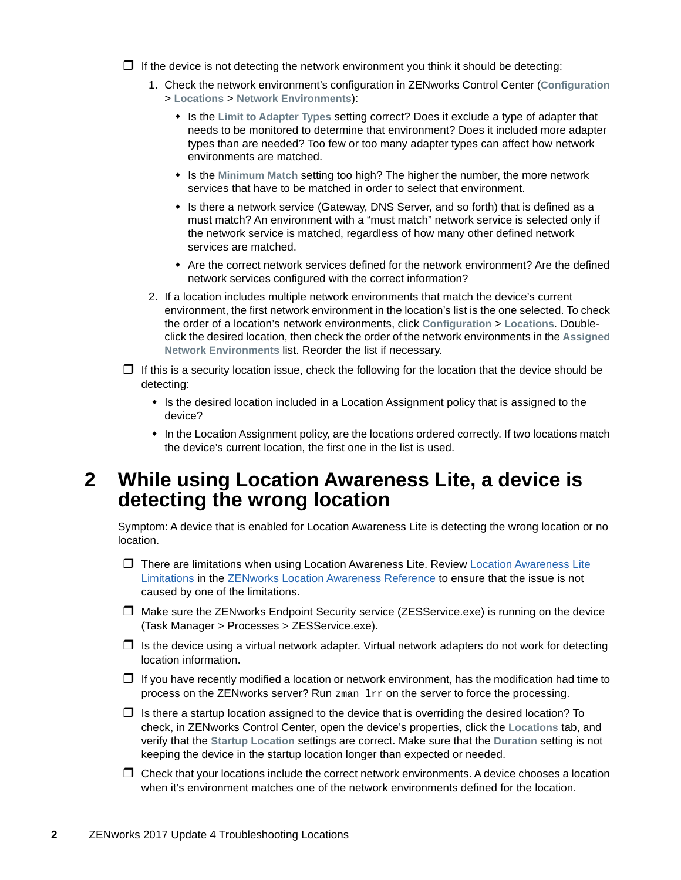$\Box$  If the device is not detecting the network environment you think it should be detecting:

- 1. Check the network environment's configuration in ZENworks Control Center (**Configuration** > **Locations** > **Network Environments**):
	- Is the **Limit to Adapter Types** setting correct? Does it exclude a type of adapter that needs to be monitored to determine that environment? Does it included more adapter types than are needed? Too few or too many adapter types can affect how network environments are matched.
	- Is the **Minimum Match** setting too high? The higher the number, the more network services that have to be matched in order to select that environment.
	- Is there a network service (Gateway, DNS Server, and so forth) that is defined as a must match? An environment with a "must match" network service is selected only if the network service is matched, regardless of how many other defined network services are matched.
	- Are the correct network services defined for the network environment? Are the defined network services configured with the correct information?
- 2. If a location includes multiple network environments that match the device's current environment, the first network environment in the location's list is the one selected. To check the order of a location's network environments, click **Configuration** > **Locations**. Doubleclick the desired location, then check the order of the network environments in the **Assigned Network Environments** list. Reorder the list if necessary.
- $\Box$  If this is a security location issue, check the following for the location that the device should be detecting:
	- Is the desired location included in a Location Assignment policy that is assigned to the device?
	- In the Location Assignment policy, are the locations ordered correctly. If two locations match the device's current location, the first one in the list is used.

#### <span id="page-1-0"></span>**2 While using Location Awareness Lite, a device is detecting the wrong location**

Symptom: A device that is enabled for Location Awareness Lite is detecting the wrong location or no location.

- There are limitations when using Location Awareness Lite. Review [Location Awareness Lite](https://www.novell.com/documentation/zenworks-2017-update-4/pdfdoc/zen_sys_location/zen_sys_location.pdf#b13x6dow)  Limitations in the [ZENworks Location Awareness Reference](https://www.novell.com/documentation/zenworks-2017-update-4/pdfdoc/zen_sys_location/zen_sys_location.pdf#bookinfo) to ensure that the issue is not caused by one of the limitations.
- $\Box$  Make sure the ZENworks Endpoint Security service (ZESService.exe) is running on the device (Task Manager > Processes > ZESService.exe).
- $\Box$  Is the device using a virtual network adapter. Virtual network adapters do not work for detecting location information.
- $\Box$  If you have recently modified a location or network environment, has the modification had time to process on the ZENworks server? Run zman lrr on the server to force the processing.
- $\Box$  Is there a startup location assigned to the device that is overriding the desired location? To check, in ZENworks Control Center, open the device's properties, click the **Locations** tab, and verify that the **Startup Location** settings are correct. Make sure that the **Duration** setting is not keeping the device in the startup location longer than expected or needed.
- $\Box$  Check that your locations include the correct network environments. A device chooses a location when it's environment matches one of the network environments defined for the location.